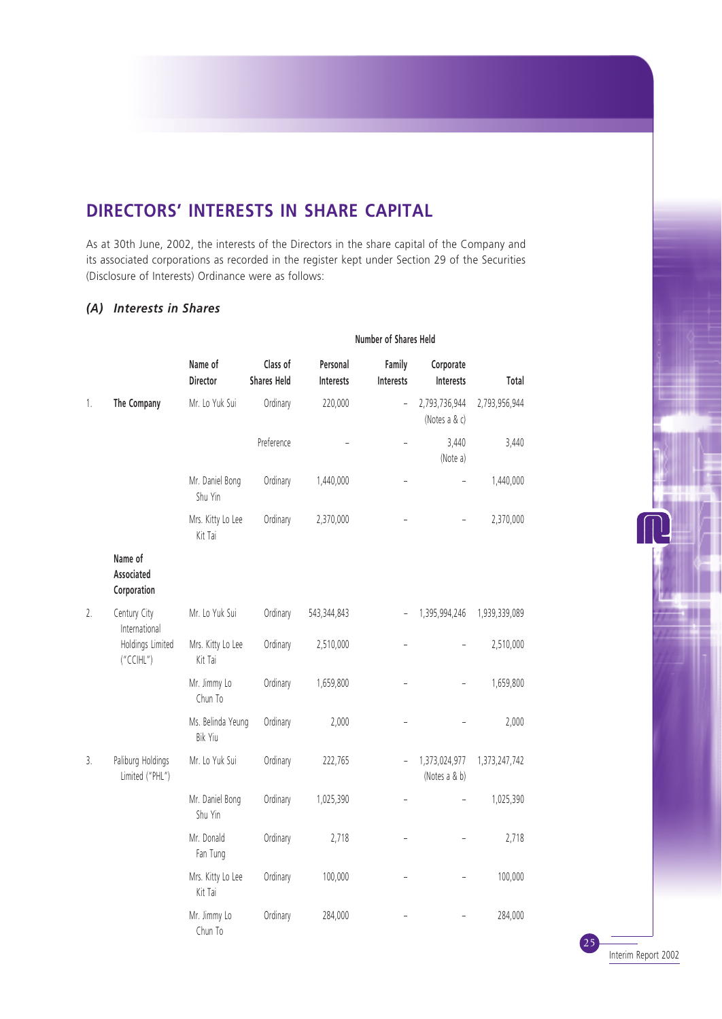# **DIRECTORS' INTERESTS IN SHARE CAPITAL**

As at 30th June, 2002, the interests of the Directors in the share capital of the Company and its associated corporations as recorded in the register kept under Section 29 of the Securities (Disclosure of Interests) Ordinance were as follows:

## *(A) Interests in Shares*

|    |                                      | Name of<br>Director          | Class of<br><b>Shares Held</b> | Personal<br>Interests | Family<br>Interests | Corporate<br>Interests         | Total         |
|----|--------------------------------------|------------------------------|--------------------------------|-----------------------|---------------------|--------------------------------|---------------|
| 1. | The Company                          | Mr. Lo Yuk Sui               | Ordinary                       | 220,000               | $\overline{a}$      | 2,793,736,944<br>(Notes a & c) | 2,793,956,944 |
|    |                                      |                              | Preference                     |                       |                     | 3,440<br>(Note a)              | 3,440         |
|    |                                      | Mr. Daniel Bong<br>Shu Yin   | Ordinary                       | 1,440,000             |                     |                                | 1,440,000     |
|    |                                      | Mrs. Kitty Lo Lee<br>Kit Tai | Ordinary                       | 2,370,000             |                     |                                | 2,370,000     |
|    | Name of<br>Associated<br>Corporation |                              |                                |                       |                     |                                |               |
| 2. | Century City<br>International        | Mr. Lo Yuk Sui               | Ordinary                       | 543,344,843           |                     | 1,395,994,246                  | 1,939,339,089 |
|    | Holdings Limited<br>("CCHL")         | Mrs. Kitty Lo Lee<br>Kit Tai | Ordinary                       | 2,510,000             |                     |                                | 2,510,000     |
|    |                                      | Mr. Jimmy Lo<br>Chun To      | Ordinary                       | 1,659,800             |                     |                                | 1,659,800     |
|    |                                      | Ms. Belinda Yeung<br>Bik Yiu | Ordinary                       | 2,000                 |                     |                                | 2,000         |
| 3. | Paliburg Holdings<br>Limited ("PHL") | Mr. Lo Yuk Sui               | Ordinary                       | 222,765               |                     | 1,373,024,977<br>(Notes a & b) | 1,373,247,742 |
|    |                                      | Mr. Daniel Bong<br>Shu Yin   | Ordinary                       | 1,025,390             | $\overline{a}$      |                                | 1,025,390     |
|    |                                      | Mr. Donald<br>Fan Tung       | Ordinary                       | 2,718                 |                     |                                | 2,718         |
|    |                                      | Mrs. Kitty Lo Lee<br>Kit Tai | Ordinary                       | 100,000               |                     |                                | 100,000       |
|    |                                      | Mr. Jimmy Lo<br>Chun To      | Ordinary                       | 284,000               |                     |                                | 284,000       |

**Number of Shares Held**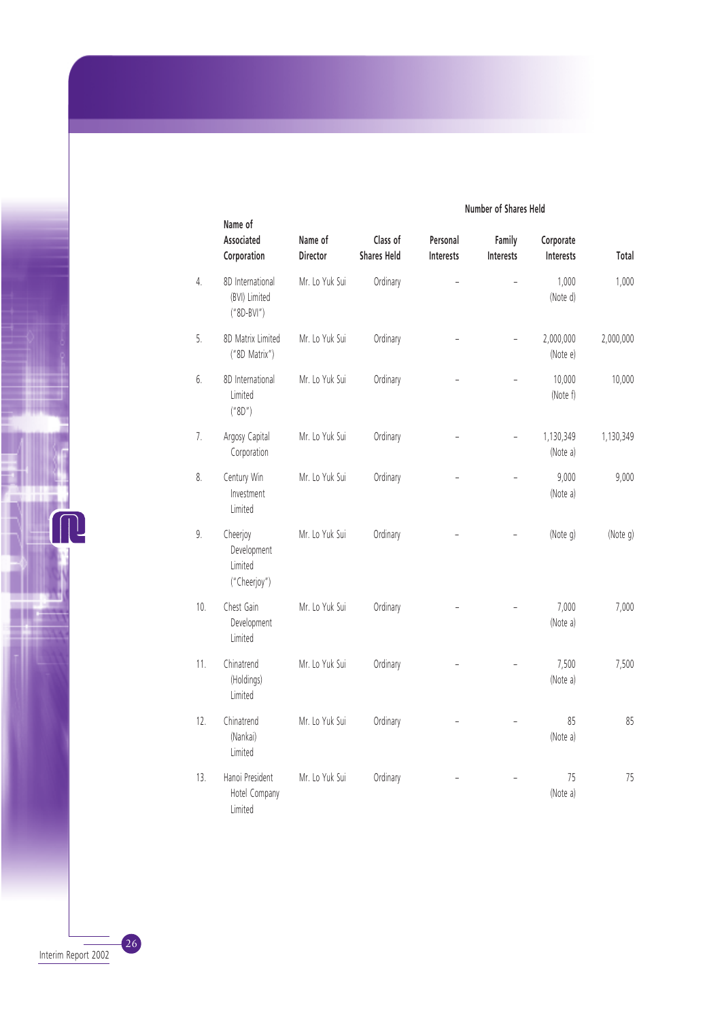|     | Name of<br>Associated<br>Corporation               | Name of<br><b>Director</b> | Class of<br><b>Shares Held</b> | Personal<br><b>Interests</b> | Family<br>Interests | Corporate<br>Interests | Total     |
|-----|----------------------------------------------------|----------------------------|--------------------------------|------------------------------|---------------------|------------------------|-----------|
| 4.  | 8D International<br>(BVI) Limited<br>$("8D-BVI")$  | Mr. Lo Yuk Sui             | Ordinary                       |                              |                     | 1,000<br>(Note d)      | 1,000     |
| 5.  | 8D Matrix Limited<br>("8D Matrix")                 | Mr. Lo Yuk Sui             | Ordinary                       |                              |                     | 2,000,000<br>(Note e)  | 2,000,000 |
| 6.  | 8D International<br>Limited<br>("8D")              | Mr. Lo Yuk Sui             | Ordinary                       |                              |                     | 10,000<br>(Note f)     | 10,000    |
| 7.  | Argosy Capital<br>Corporation                      | Mr. Lo Yuk Sui             | Ordinary                       |                              |                     | 1,130,349<br>(Note a)  | 1,130,349 |
| 8.  | Century Win<br>Investment<br>Limited               | Mr. Lo Yuk Sui             | Ordinary                       |                              |                     | 9,000<br>(Note a)      | 9,000     |
| 9.  | Cheerjoy<br>Development<br>Limited<br>("Cheerjoy") | Mr. Lo Yuk Sui             | Ordinary                       |                              |                     | (Note g)               | (Note g)  |
| 10. | Chest Gain<br>Development<br>Limited               | Mr. Lo Yuk Sui             | Ordinary                       |                              |                     | 7,000<br>(Note a)      | 7,000     |
| 11. | Chinatrend<br>(Holdings)<br>Limited                | Mr. Lo Yuk Sui             | Ordinary                       |                              |                     | 7,500<br>(Note a)      | 7,500     |
| 12. | Chinatrend<br>(Nankai)<br>Limited                  | Mr. Lo Yuk Sui             | Ordinary                       |                              |                     | 85<br>(Note a)         | 85        |
| 13. | Hanoi President<br>Hotel Company<br>Limited        | Mr. Lo Yuk Sui             | Ordinary                       |                              |                     | 75<br>(Note a)         | 75        |

### **Number of Shares Held**

Interim Report 2002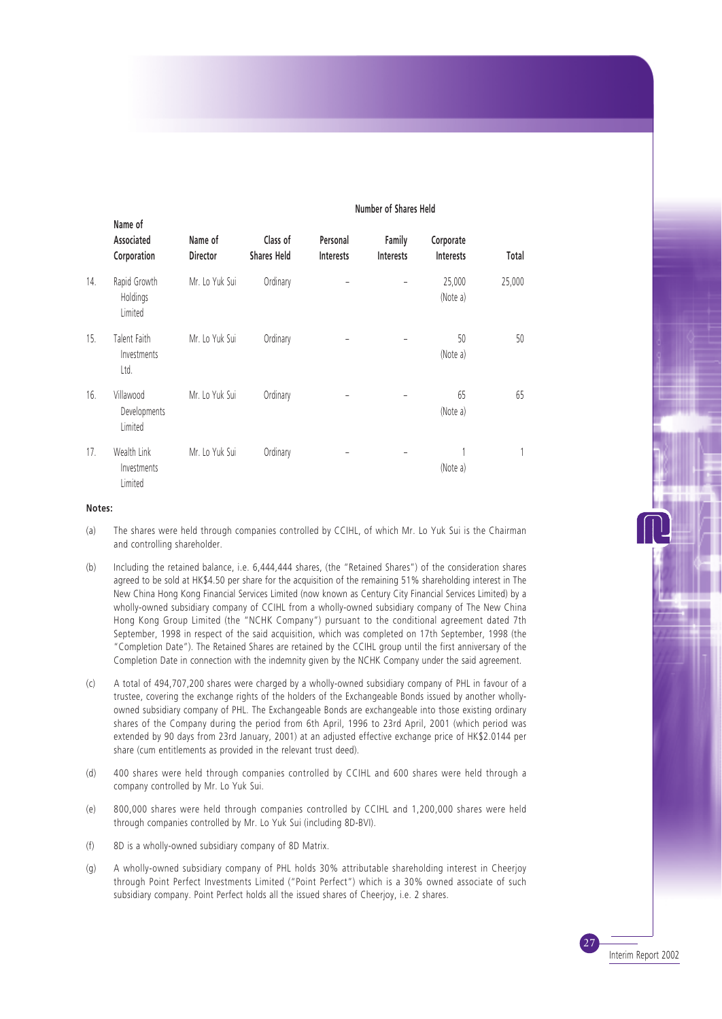| <b>NUMBER OF SHOP</b> |                                       |                            |                                |                              |                            |                               |        |
|-----------------------|---------------------------------------|----------------------------|--------------------------------|------------------------------|----------------------------|-------------------------------|--------|
|                       | Name of<br>Associated<br>Corporation  | Name of<br><b>Director</b> | Class of<br><b>Shares Held</b> | Personal<br><b>Interests</b> | Family<br><b>Interests</b> | Corporate<br><b>Interests</b> | Total  |
| 14.                   | Rapid Growth<br>Holdings<br>Limited   | Mr. Lo Yuk Sui             | Ordinary                       |                              |                            | 25,000<br>(Note a)            | 25,000 |
| 15.                   | Talent Faith<br>Investments<br>Ltd.   | Mr. Lo Yuk Sui             | Ordinary                       |                              |                            | 50<br>(Note a)                | 50     |
| 16.                   | Villawood<br>Developments<br>Limited  | Mr. Lo Yuk Sui             | Ordinary                       |                              |                            | 65<br>(Note a)                | 65     |
| 17.                   | Wealth Link<br>Investments<br>Limited | Mr. Lo Yuk Sui             | Ordinary                       |                              |                            | (Note a)                      |        |

#### **Number of Shares Held**

#### **Notes:**

- (a) The shares were held through companies controlled by CCIHL, of which Mr. Lo Yuk Sui is the Chairman and controlling shareholder.
- (b) Including the retained balance, i.e. 6,444,444 shares, (the "Retained Shares") of the consideration shares agreed to be sold at HK\$4.50 per share for the acquisition of the remaining 51% shareholding interest in The New China Hong Kong Financial Services Limited (now known as Century City Financial Services Limited) by a wholly-owned subsidiary company of CCIHL from a wholly-owned subsidiary company of The New China Hong Kong Group Limited (the "NCHK Company") pursuant to the conditional agreement dated 7th September, 1998 in respect of the said acquisition, which was completed on 17th September, 1998 (the "Completion Date"). The Retained Shares are retained by the CCIHL group until the first anniversary of the Completion Date in connection with the indemnity given by the NCHK Company under the said agreement.
- (c) A total of 494,707,200 shares were charged by a wholly-owned subsidiary company of PHL in favour of a trustee, covering the exchange rights of the holders of the Exchangeable Bonds issued by another whollyowned subsidiary company of PHL. The Exchangeable Bonds are exchangeable into those existing ordinary shares of the Company during the period from 6th April, 1996 to 23rd April, 2001 (which period was extended by 90 days from 23rd January, 2001) at an adjusted effective exchange price of HK\$2.0144 per share (cum entitlements as provided in the relevant trust deed).
- (d) 400 shares were held through companies controlled by CCIHL and 600 shares were held through a company controlled by Mr. Lo Yuk Sui.
- (e) 800,000 shares were held through companies controlled by CCIHL and 1,200,000 shares were held through companies controlled by Mr. Lo Yuk Sui (including 8D-BVI).
- (f) 8D is a wholly-owned subsidiary company of 8D Matrix.
- (g) A wholly-owned subsidiary company of PHL holds 30% attributable shareholding interest in Cheerjoy through Point Perfect Investments Limited ("Point Perfect") which is a 30% owned associate of such subsidiary company. Point Perfect holds all the issued shares of Cheerjoy, i.e. 2 shares.

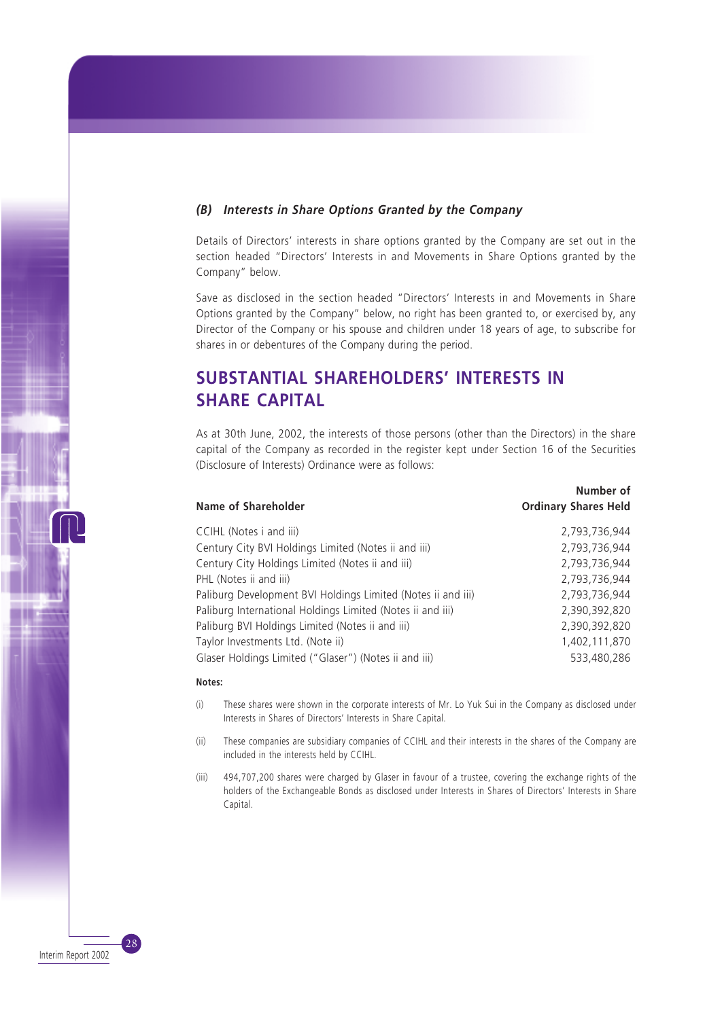## *(B) Interests in Share Options Granted by the Company*

Details of Directors' interests in share options granted by the Company are set out in the section headed "Directors' Interests in and Movements in Share Options granted by the Company" below.

Save as disclosed in the section headed "Directors' Interests in and Movements in Share Options granted by the Company" below, no right has been granted to, or exercised by, any Director of the Company or his spouse and children under 18 years of age, to subscribe for shares in or debentures of the Company during the period.

# **SUBSTANTIAL SHAREHOLDERS' INTERESTS IN SHARE CAPITAL**

As at 30th June, 2002, the interests of those persons (other than the Directors) in the share capital of the Company as recorded in the register kept under Section 16 of the Securities (Disclosure of Interests) Ordinance were as follows:

**Number of**

| <b>Name of Shareholder</b>                                   | IVUIIIUCI UI<br><b>Ordinary Shares Held</b> |
|--------------------------------------------------------------|---------------------------------------------|
| CCIHL (Notes i and iii)                                      | 2,793,736,944                               |
| Century City BVI Holdings Limited (Notes ii and iii)         | 2,793,736,944                               |
| Century City Holdings Limited (Notes ii and iii)             | 2,793,736,944                               |
| PHL (Notes ii and iii)                                       | 2,793,736,944                               |
| Paliburg Development BVI Holdings Limited (Notes ii and iii) | 2,793,736,944                               |
| Paliburg International Holdings Limited (Notes ii and iii)   | 2,390,392,820                               |
| Paliburg BVI Holdings Limited (Notes ii and iii)             | 2,390,392,820                               |
| Taylor Investments Ltd. (Note ii)                            | 1,402,111,870                               |
| Glaser Holdings Limited ("Glaser") (Notes ii and iii)        | 533,480,286                                 |
|                                                              |                                             |

#### **Notes:**

- (i) These shares were shown in the corporate interests of Mr. Lo Yuk Sui in the Company as disclosed under Interests in Shares of Directors' Interests in Share Capital.
- (ii) These companies are subsidiary companies of CCIHL and their interests in the shares of the Company are included in the interests held by CCIHL.
- (iii) 494,707,200 shares were charged by Glaser in favour of a trustee, covering the exchange rights of the holders of the Exchangeable Bonds as disclosed under Interests in Shares of Directors' Interests in Share Capital.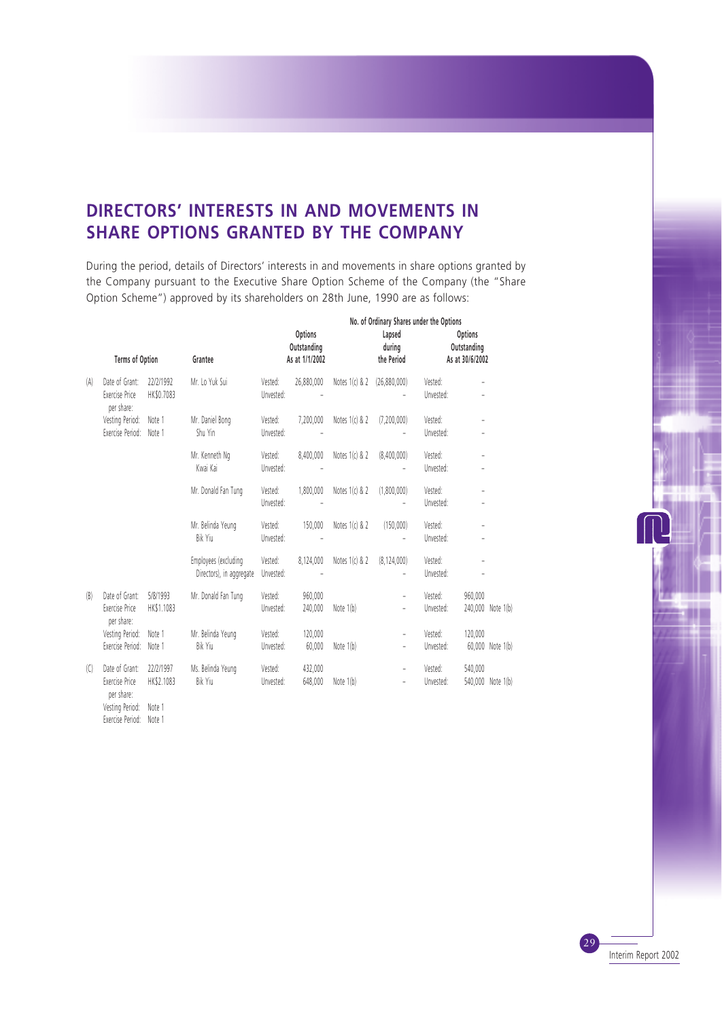## **DIRECTORS' INTERESTS IN AND MOVEMENTS IN SHARE OPTIONS GRANTED BY THE COMPANY**

During the period, details of Directors' interests in and movements in share options granted by the Company pursuant to the Executive Share Option Scheme of the Company (the "Share Option Scheme") approved by its shareholders on 28th June, 1990 are as follows:

| No. of Ordinary Shares under the Options |                                                       |                         |                                                  |                      |                                          |                             |                                |                      |                                           |                   |
|------------------------------------------|-------------------------------------------------------|-------------------------|--------------------------------------------------|----------------------|------------------------------------------|-----------------------------|--------------------------------|----------------------|-------------------------------------------|-------------------|
|                                          | Terms of Option                                       |                         | Grantee                                          |                      | Options<br>Outstanding<br>As at 1/1/2002 |                             | Lapsed<br>during<br>the Period |                      | Options<br>Outstanding<br>As at 30/6/2002 |                   |
| (A)                                      | Date of Grant:<br>Exercise Price<br>per share:        | 22/2/1992<br>HK\$0.7083 | Mr. Lo Yuk Sui                                   | Vested:<br>Unvested: | 26,880,000                               | Notes 1(c) & 2 (26,880,000) |                                | Vested:<br>Unvested: |                                           |                   |
|                                          | Vesting Period:<br>Exercise Period:                   | Note 1<br>Note 1        | Mr. Daniel Bong<br>Shu Yin                       | Vested:<br>Unvested: | 7,200,000                                | Notes 1(c) & 2              | (7,200,000)                    | Vested:<br>Unvested: |                                           |                   |
|                                          |                                                       |                         | Mr. Kenneth Ng<br>Kwai Kai                       | Vested:<br>Unvested: | 8,400,000                                | Notes $1(c)$ & 2            | (8,400,000)                    | Vested:<br>Unvested: |                                           |                   |
|                                          |                                                       |                         | Mr. Donald Fan Tung                              | Vested:<br>Unvested: | 1,800,000                                | Notes 1(c) & 2              | (1,800,000)                    | Vested:<br>Unvested: |                                           |                   |
|                                          |                                                       |                         | Mr. Belinda Yeung<br>Bik Yiu                     | Vested:<br>Unvested: | 150,000                                  | Notes $1(c)$ & 2            | (150,000)                      | Vested:<br>Unvested: |                                           |                   |
|                                          |                                                       |                         | Employees (excluding<br>Directors), in aggregate | Vested:<br>Unvested: | 8,124,000                                | Notes $1(c)$ & 2            | (8, 124, 000)                  | Vested:<br>Unvested: |                                           |                   |
| (B)                                      | Date of Grant:<br><b>Exercise Price</b><br>per share: | 5/8/1993<br>HK\$1.1083  | Mr. Donald Fan Tung                              | Vested:<br>Unvested: | 960,000<br>240.000                       | Note 1(b)                   | ÷,                             | Vested:<br>Unvested: | 960,000                                   | 240,000 Note 1(b) |
|                                          | Vesting Period:<br>Exercise Period:                   | Note 1<br>Note 1        | Mr. Belinda Yeung<br>Bik Yiu                     | Vested:<br>Unvested: | 120,000<br>60,000                        | Note 1(b)                   | ÷,<br>÷,                       | Vested:<br>Unvested: | 120,000                                   | 60,000 Note 1(b)  |
| (C)                                      | Date of Grant:<br>Exercise Price<br>nor charo:        | 22/2/1997<br>HK\$2.1083 | Ms. Belinda Yeung<br>Bik Yiu                     | Vested:<br>Unvested: | 432,000<br>648.000                       | Note 1(b)                   | -                              | Vested:<br>Unvested: | 540,000                                   | 540,000 Note 1(b) |

per share: Vesting Period: Note 1 Exercise Period: Note 1

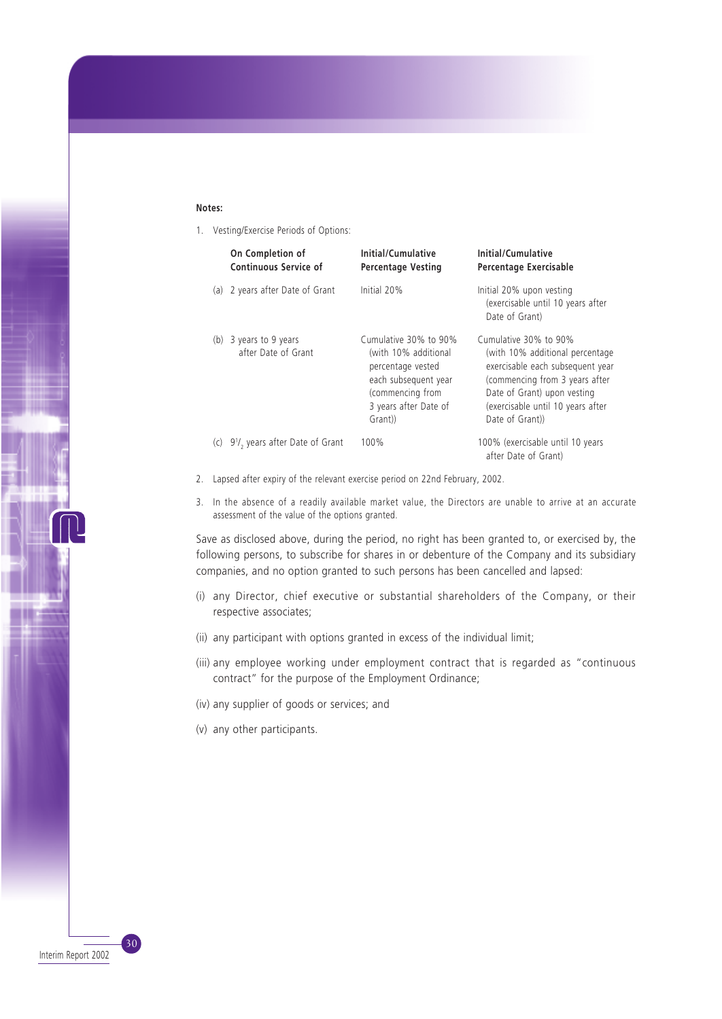#### **Notes:**

1. Vesting/Exercise Periods of Options:

| On Completion of<br><b>Continuous Service of</b>            | Initial/Cumulative<br><b>Percentage Vesting</b>                                                                                                    | Initial/Cumulative<br>Percentage Exercisable                                                                                                                                                                          |
|-------------------------------------------------------------|----------------------------------------------------------------------------------------------------------------------------------------------------|-----------------------------------------------------------------------------------------------------------------------------------------------------------------------------------------------------------------------|
| (a) 2 years after Date of Grant                             | Initial 20%                                                                                                                                        | Initial 20% upon vesting<br>(exercisable until 10 years after<br>Date of Grant)                                                                                                                                       |
| (b) 3 years to 9 years<br>after Date of Grant               | Cumulative 30% to 90%<br>(with 10% additional<br>percentage vested<br>each subsequent year<br>(commencing from<br>3 years after Date of<br>Grant)) | Cumulative 30% to 90%<br>(with 10% additional percentage<br>exercisable each subsequent year<br>(commencing from 3 years after<br>Date of Grant) upon vesting<br>(exercisable until 10 years after<br>Date of Grant)) |
| (c) 9 <sup>1</sup> / <sub>2</sub> years after Date of Grant | 100%                                                                                                                                               | 100% (exercisable until 10 years<br>after Date of Grant)                                                                                                                                                              |

- 2. Lapsed after expiry of the relevant exercise period on 22nd February, 2002.
- 3. In the absence of a readily available market value, the Directors are unable to arrive at an accurate assessment of the value of the options granted.

Save as disclosed above, during the period, no right has been granted to, or exercised by, the following persons, to subscribe for shares in or debenture of the Company and its subsidiary companies, and no option granted to such persons has been cancelled and lapsed:

- (i) any Director, chief executive or substantial shareholders of the Company, or their respective associates;
- (ii) any participant with options granted in excess of the individual limit;
- (iii) any employee working under employment contract that is regarded as "continuous contract" for the purpose of the Employment Ordinance;
- (iv) any supplier of goods or services; and
- (v) any other participants.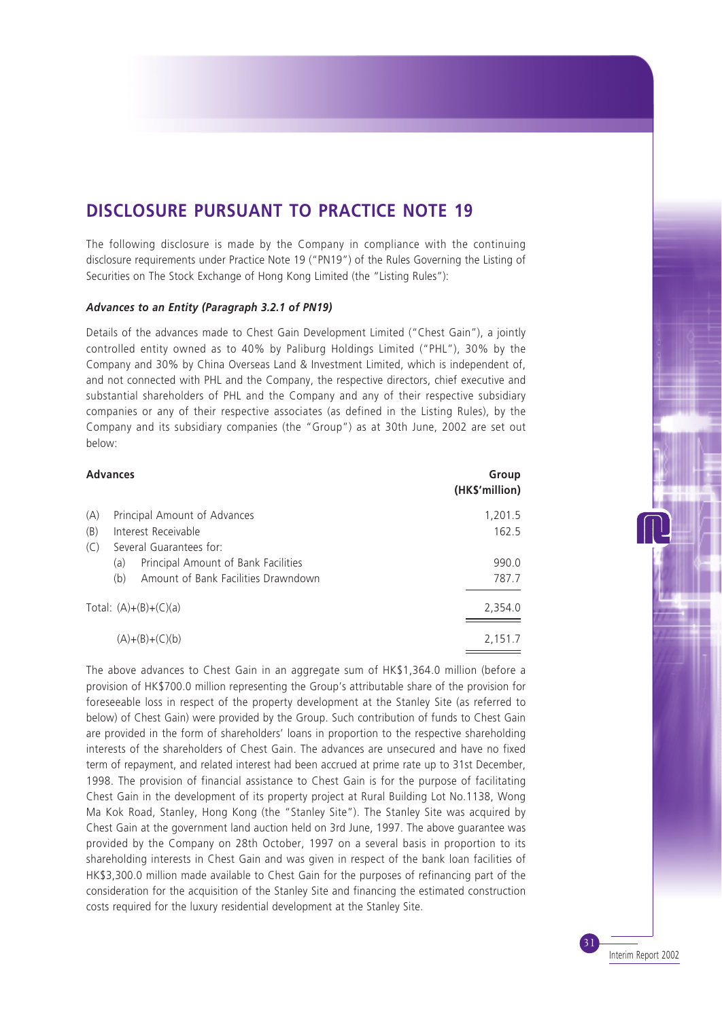## **DISCLOSURE PURSUANT TO PRACTICE NOTE 19**

The following disclosure is made by the Company in compliance with the continuing disclosure requirements under Practice Note 19 ("PN19") of the Rules Governing the Listing of Securities on The Stock Exchange of Hong Kong Limited (the "Listing Rules"):

### *Advances to an Entity (Paragraph 3.2.1 of PN19)*

Details of the advances made to Chest Gain Development Limited ("Chest Gain"), a jointly controlled entity owned as to 40% by Paliburg Holdings Limited ("PHL"), 30% by the Company and 30% by China Overseas Land & Investment Limited, which is independent of, and not connected with PHL and the Company, the respective directors, chief executive and substantial shareholders of PHL and the Company and any of their respective subsidiary companies or any of their respective associates (as defined in the Listing Rules), by the Company and its subsidiary companies (the "Group") as at 30th June, 2002 are set out below:

|     | <b>Advances</b>                            | Group<br>(HK\$'million) |
|-----|--------------------------------------------|-------------------------|
| (A) | Principal Amount of Advances               | 1,201.5                 |
| (B) | Interest Receivable                        | 162.5                   |
| (C) | Several Guarantees for:                    |                         |
|     | Principal Amount of Bank Facilities<br>(a) | 990.0                   |
|     | Amount of Bank Facilities Drawndown<br>(b) | 787.7                   |
|     | Total: $(A)+(B)+(C)(a)$                    | 2,354.0                 |
|     | $(A)+(B)+(C)(b)$                           | 2,151.7                 |

The above advances to Chest Gain in an aggregate sum of HK\$1,364.0 million (before a provision of HK\$700.0 million representing the Group's attributable share of the provision for foreseeable loss in respect of the property development at the Stanley Site (as referred to below) of Chest Gain) were provided by the Group. Such contribution of funds to Chest Gain are provided in the form of shareholders' loans in proportion to the respective shareholding interests of the shareholders of Chest Gain. The advances are unsecured and have no fixed term of repayment, and related interest had been accrued at prime rate up to 31st December, 1998. The provision of financial assistance to Chest Gain is for the purpose of facilitating Chest Gain in the development of its property project at Rural Building Lot No.1138, Wong Ma Kok Road, Stanley, Hong Kong (the "Stanley Site"). The Stanley Site was acquired by Chest Gain at the government land auction held on 3rd June, 1997. The above guarantee was provided by the Company on 28th October, 1997 on a several basis in proportion to its shareholding interests in Chest Gain and was given in respect of the bank loan facilities of HK\$3,300.0 million made available to Chest Gain for the purposes of refinancing part of the consideration for the acquisition of the Stanley Site and financing the estimated construction costs required for the luxury residential development at the Stanley Site.

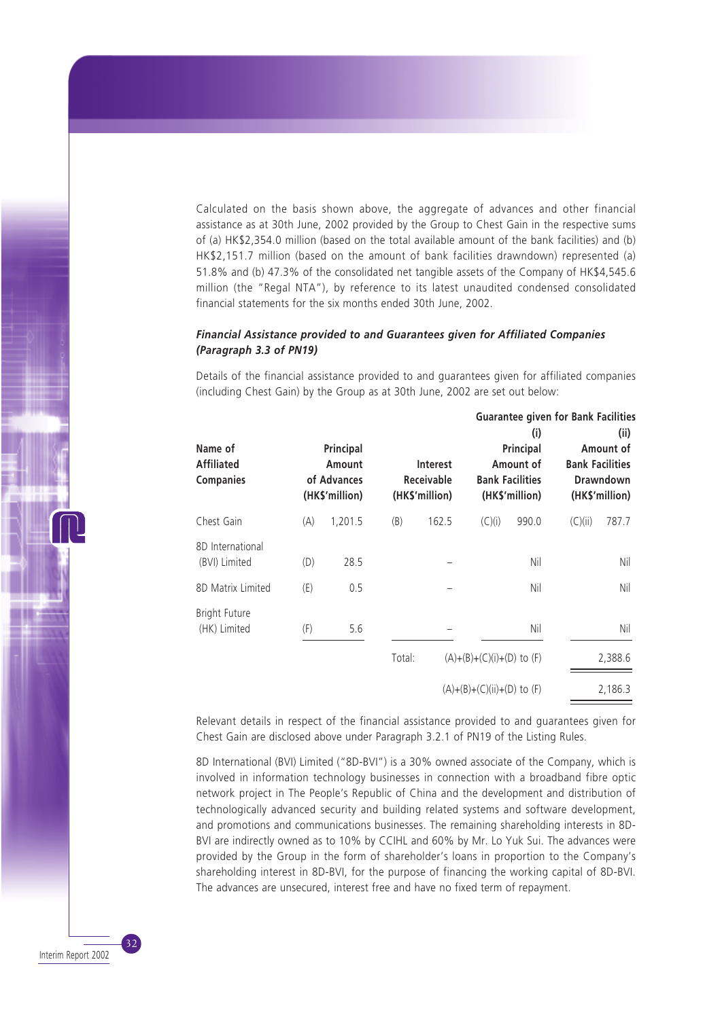Calculated on the basis shown above, the aggregate of advances and other financial assistance as at 30th June, 2002 provided by the Group to Chest Gain in the respective sums of (a) HK\$2,354.0 million (based on the total available amount of the bank facilities) and (b) HK\$2,151.7 million (based on the amount of bank facilities drawndown) represented (a) 51.8% and (b) 47.3% of the consolidated net tangible assets of the Company of HK\$4,545.6 million (the "Regal NTA"), by reference to its latest unaudited condensed consolidated financial statements for the six months ended 30th June, 2002.

### *Financial Assistance provided to and Guarantees given for Affiliated Companies (Paragraph 3.3 of PN19)*

Details of the financial assistance provided to and guarantees given for affiliated companies (including Chest Gain) by the Group as at 30th June, 2002 are set out below:

**Guarantee given for Bank Facilities**

| Name of<br><b>Affiliated</b><br><b>Companies</b> |     | Principal<br>Amount<br>of Advances<br>(HK\$'million) | Interest<br><b>Receivable</b><br>(HK\$'million) |       |                                | (i)<br>Principal<br>Amount of<br><b>Bank Facilities</b><br>(HK\$'million) |         | (ii)<br>Amount of<br><b>Bank Facilities</b><br><b>Drawndown</b><br>(HK\$'million) |  |
|--------------------------------------------------|-----|------------------------------------------------------|-------------------------------------------------|-------|--------------------------------|---------------------------------------------------------------------------|---------|-----------------------------------------------------------------------------------|--|
| Chest Gain                                       | (A) | 1,201.5                                              | (B)                                             | 162.5 | (C)(i)                         | 990.0                                                                     | (C)(ii) | 787.7                                                                             |  |
| 8D International<br>(BVI) Limited                | (D) | 28.5                                                 |                                                 |       |                                | Nil                                                                       |         | Nil                                                                               |  |
| 8D Matrix Limited                                | (E) | 0.5                                                  |                                                 |       |                                | Nil                                                                       |         | Nil                                                                               |  |
| <b>Bright Future</b><br>(HK) Limited             | (F) | 5.6                                                  |                                                 |       |                                | Nil                                                                       |         | Nil                                                                               |  |
|                                                  |     |                                                      | Total:                                          |       | $(A)+(B)+(C)(i)+(D)$ to $(F)$  |                                                                           |         | 2,388.6                                                                           |  |
|                                                  |     |                                                      |                                                 |       | $(A)+(B)+(C)(ii)+(D)$ to $(F)$ |                                                                           |         | 2,186.3                                                                           |  |

Relevant details in respect of the financial assistance provided to and guarantees given for Chest Gain are disclosed above under Paragraph 3.2.1 of PN19 of the Listing Rules.

8D International (BVI) Limited ("8D-BVI") is a 30% owned associate of the Company, which is involved in information technology businesses in connection with a broadband fibre optic network project in The People's Republic of China and the development and distribution of technologically advanced security and building related systems and software development, and promotions and communications businesses. The remaining shareholding interests in 8D-BVI are indirectly owned as to 10% by CCIHL and 60% by Mr. Lo Yuk Sui. The advances were provided by the Group in the form of shareholder's loans in proportion to the Company's shareholding interest in 8D-BVI, for the purpose of financing the working capital of 8D-BVI. The advances are unsecured, interest free and have no fixed term of repayment.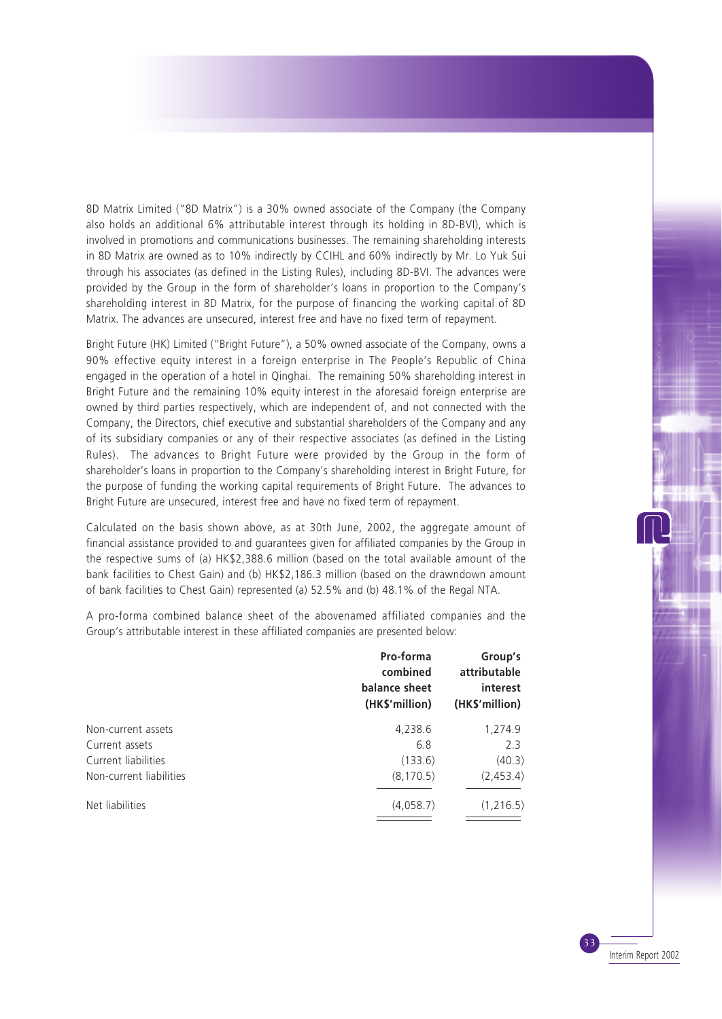8D Matrix Limited ("8D Matrix") is a 30% owned associate of the Company (the Company also holds an additional 6% attributable interest through its holding in 8D-BVI), which is involved in promotions and communications businesses. The remaining shareholding interests in 8D Matrix are owned as to 10% indirectly by CCIHL and 60% indirectly by Mr. Lo Yuk Sui through his associates (as defined in the Listing Rules), including 8D-BVI. The advances were provided by the Group in the form of shareholder's loans in proportion to the Company's shareholding interest in 8D Matrix, for the purpose of financing the working capital of 8D Matrix. The advances are unsecured, interest free and have no fixed term of repayment.

Bright Future (HK) Limited ("Bright Future"), a 50% owned associate of the Company, owns a 90% effective equity interest in a foreign enterprise in The People's Republic of China engaged in the operation of a hotel in Qinghai. The remaining 50% shareholding interest in Bright Future and the remaining 10% equity interest in the aforesaid foreign enterprise are owned by third parties respectively, which are independent of, and not connected with the Company, the Directors, chief executive and substantial shareholders of the Company and any of its subsidiary companies or any of their respective associates (as defined in the Listing Rules). The advances to Bright Future were provided by the Group in the form of shareholder's loans in proportion to the Company's shareholding interest in Bright Future, for the purpose of funding the working capital requirements of Bright Future. The advances to Bright Future are unsecured, interest free and have no fixed term of repayment.

Calculated on the basis shown above, as at 30th June, 2002, the aggregate amount of financial assistance provided to and guarantees given for affiliated companies by the Group in the respective sums of (a) HK\$2,388.6 million (based on the total available amount of the bank facilities to Chest Gain) and (b) HK\$2,186.3 million (based on the drawndown amount of bank facilities to Chest Gain) represented (a) 52.5% and (b) 48.1% of the Regal NTA.

A pro-forma combined balance sheet of the abovenamed affiliated companies and the Group's attributable interest in these affiliated companies are presented below:

|                         | Pro-forma<br>combined<br>balance sheet<br>(HK\$'million) | Group's<br>attributable<br>interest<br>(HK\$'million) |
|-------------------------|----------------------------------------------------------|-------------------------------------------------------|
| Non-current assets      | 4,238.6                                                  | 1,274.9                                               |
| Current assets          | 6.8                                                      | 2.3                                                   |
| Current liabilities     | (133.6)                                                  | (40.3)                                                |
| Non-current liabilities | (8, 170.5)                                               | (2,453.4)                                             |
| Net liabilities         | (4,058.7)                                                | (1,216.5)                                             |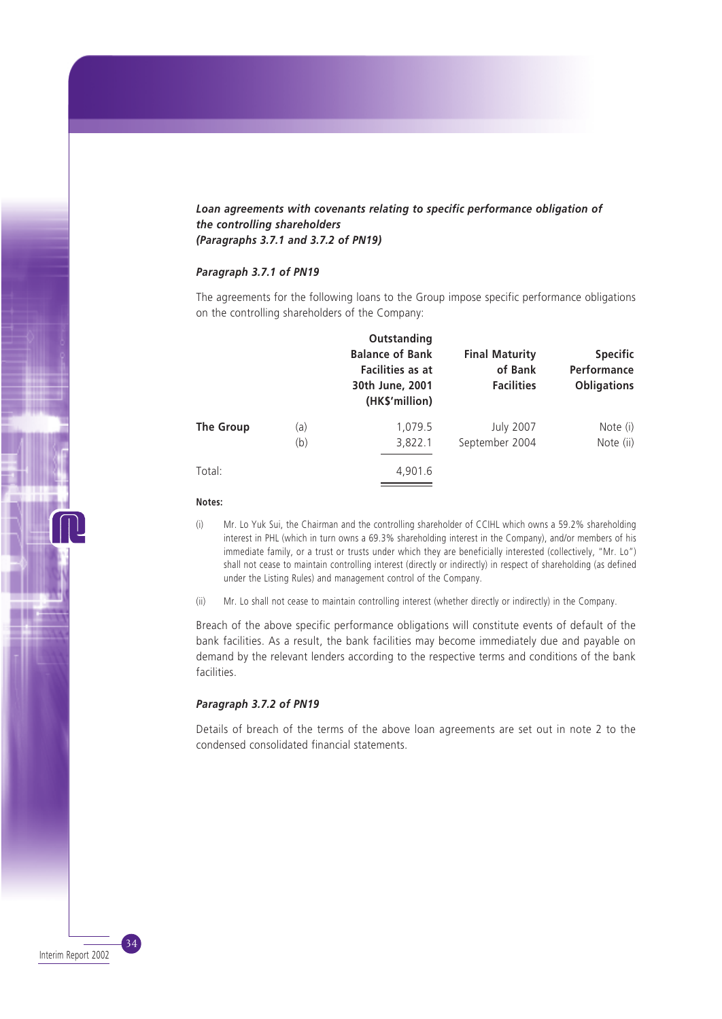## *Loan agreements with covenants relating to specific performance obligation of the controlling shareholders (Paragraphs 3.7.1 and 3.7.2 of PN19)*

### *Paragraph 3.7.1 of PN19*

The agreements for the following loans to the Group impose specific performance obligations on the controlling shareholders of the Company:

|           |     | Outstanding<br><b>Balance of Bank</b><br>Facilities as at<br>30th June, 2001<br>(HK\$'million) | <b>Final Maturity</b><br>of Bank<br><b>Facilities</b> | <b>Specific</b><br>Performance<br><b>Obligations</b> |
|-----------|-----|------------------------------------------------------------------------------------------------|-------------------------------------------------------|------------------------------------------------------|
| The Group | (a) | 1,079.5                                                                                        | <b>July 2007</b>                                      | Note (i)                                             |
|           | (b) | 3,822.1                                                                                        | September 2004                                        | Note (ii)                                            |
| Total:    |     | 4,901.6                                                                                        |                                                       |                                                      |

#### **Notes:**

- (i) Mr. Lo Yuk Sui, the Chairman and the controlling shareholder of CCIHL which owns a 59.2% shareholding interest in PHL (which in turn owns a 69.3% shareholding interest in the Company), and/or members of his immediate family, or a trust or trusts under which they are beneficially interested (collectively, "Mr. Lo") shall not cease to maintain controlling interest (directly or indirectly) in respect of shareholding (as defined under the Listing Rules) and management control of the Company.
- (ii) Mr. Lo shall not cease to maintain controlling interest (whether directly or indirectly) in the Company.

Breach of the above specific performance obligations will constitute events of default of the bank facilities. As a result, the bank facilities may become immediately due and payable on demand by the relevant lenders according to the respective terms and conditions of the bank facilities.

#### *Paragraph 3.7.2 of PN19*

Details of breach of the terms of the above loan agreements are set out in note 2 to the condensed consolidated financial statements.